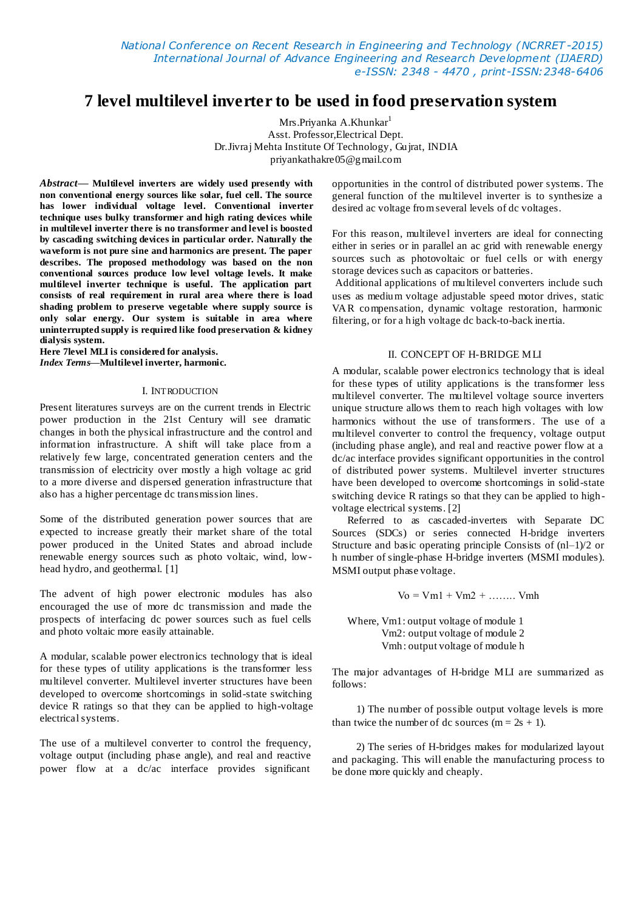*National Conference on Recent Research in Engineering and Technology (NCRRET -2015) International Journal of Advance Engineering and Research Development (IJAERD) e-ISSN: 2348 - 4470 , print-ISSN:2348-6406*

# **7 level multilevel inverter to be used in food preservation system**

Mrs.Priyanka A.Khunkar<sup>1</sup> Asst. Professor,Electrical Dept. Dr.Jivraj Mehta Institute Of Technology, Gujrat, INDIA priyankathakre05@gmail.com

*Abstract***— Multilevel inverters are widely used presently with non conventional energy sources like solar, fuel cell. The source has lower individual voltage level. Conventional inverter technique uses bulky transformer and high rating devices while in multilevel inverter there is no transformer and level is boosted by cascading switching devices in particular order. Naturally the waveform is not pure sine and harmonics are present. The paper describes. The proposed methodology was based on the non conventional sources produce low level voltage levels. It make multilevel inverter technique is useful. The application part consists of real requirement in rural area where there is load shading problem to preserve vegetable where supply source is only solar energy. Our system is suitable in area where uninterrupted supply is required like food preservation & kidney dialysis system.**

**Here 7level MLI is considered for analysis.** *Index Terms***—Multilevel inverter, harmonic.**

#### I. INTRODUCTION

Present literatures surveys are on the current trends in Electric power production in the 21st Century will see dramatic changes in both the physical infrastructure and the control and information infrastructure. A shift will take place from a relatively few large, concentrated generation centers and the transmission of electricity over mostly a high voltage ac grid to a more diverse and dispersed generation infrastructure that also has a higher percentage dc transmission lines.

Some of the distributed generation power sources that are expected to increase greatly their market share of the total power produced in the United States and abroad include renewable energy sources such as photo voltaic, wind, lowhead hydro, and geothermal. [1]

The advent of high power electronic modules has also encouraged the use of more dc transmission and made the prospects of interfacing dc power sources such as fuel cells and photo voltaic more easily attainable.

A modular, scalable power electronics technology that is ideal for these types of utility applications is the transformer less multilevel converter. Multilevel inverter structures have been developed to overcome shortcomings in solid-state switching device R ratings so that they can be applied to high-voltage electrical systems.

The use of a multilevel converter to control the frequency, voltage output (including phase angle), and real and reactive power flow at a dc/ac interface provides significant

opportunities in the control of distributed power systems. The general function of the multilevel inverter is to synthesize a desired ac voltage from several levels of dc voltages.

For this reason, multilevel inverters are ideal for connecting either in series or in parallel an ac grid with renewable energy sources such as photovoltaic or fuel cells or with energy storage devices such as capacitors or batteries.

Additional applications of multilevel converters include such uses as medium voltage adjustable speed motor drives, static VAR compensation, dynamic voltage restoration, harmonic filtering, or for a high voltage dc back-to-back inertia.

### II. CONCEPT OF H-BRIDGE MLI

A modular, scalable power electronics technology that is ideal for these types of utility applications is the transformer less multilevel converter. The multilevel voltage source inverters unique structure allows them to reach high voltages with low harmonics without the use of transformers. The use of a multilevel converter to control the frequency, voltage output (including phase angle), and real and reactive power flow at a dc/ac interface provides significant opportunities in the control of distributed power systems. Multilevel inverter structures have been developed to overcome shortcomings in solid-state switching device R ratings so that they can be applied to highvoltage electrical systems. [2]

Referred to as cascaded-inverters with Separate DC Sources (SDCs) or series connected H-bridge inverters Structure and basic operating principle Consists of (nl–1)/2 or h number of single-phase H-bridge inverters (MSMI modules). MSMI output phase voltage.

$$
V_0 = Vm1 + Vm2 + \dots \dots \quad Vmh
$$

Where, Vm1: output voltage of module 1 Vm2: output voltage of module 2 Vmh: output voltage of module h

The major advantages of H-bridge MLI are summarized as follows:

 1) The number of possible output voltage levels is more than twice the number of dc sources ( $m = 2s + 1$ ).

 2) The series of H-bridges makes for modularized layout and packaging. This will enable the manufacturing process to be done more quickly and cheaply.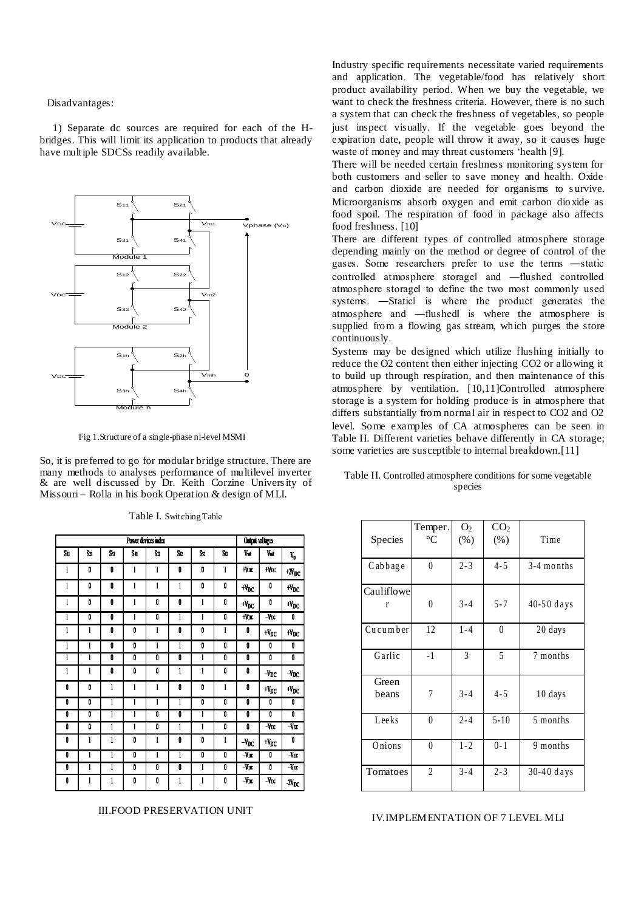Disadvantages:

 1) Separate dc sources are required for each of the Hbridges. This will limit its application to products that already have multiple SDCSs readily available.



Fig 1.Structure of a single-phase nl-level MSMI

So, it is preferred to go for modular bridge structure. There are many methods to analyses performance of multilevel inverter & are well discussed by Dr. Keith Corzine University of Missouri – Rolla in his book Operation & design of MLI.

| Power devices index |     |              |              |    |    |              |              |                              | Output voltages       |                                       |  |
|---------------------|-----|--------------|--------------|----|----|--------------|--------------|------------------------------|-----------------------|---------------------------------------|--|
| $S_{11}$            | Szi | S31          | Su.          | Sn | S2 | S.           | Sn           | V <sub>II</sub>              | V.                    | V,                                    |  |
| l                   | Ū   | 0            | 1            | 1  | Ū  | 0            | 1            | $-WDC$                       | +VDC                  | $\boldsymbol{^{+2N_{\text{DC}}}}$     |  |
| l                   | 0   | 0            | 1            | 1  | 1  | 0            | 0            | $W_{DC}$                     | 0                     | $\boldsymbol{W_{DC}}$                 |  |
| l                   | 0   | 0            | $\mathbf{1}$ | 0  | 0  | $\mathbf{1}$ | Ō            | $\boldsymbol{v}_{\text{DC}}$ | 0                     | $\boldsymbol{W_{DC}}$                 |  |
| l                   | Ō   | 0            | 1            | Ō  | 1  | l            | Ō            | $W_{\text{DC}}$              | $-$ Vpc               | 0                                     |  |
| l                   | 1   | Ū            | 0            | 1  | Ū  | 0            | 1            | 0                            | $W_{DC}$              | $W_{DC}$                              |  |
| l                   | 1   | 0            | 0            | 1  | 1  | 0            | 0            | Ō                            | 0                     | 0                                     |  |
| ī                   | 1   | Ō            | Ō            | 0  | O  | l            | Ō            | 0                            | Ō                     | Ō                                     |  |
| l                   | 1   | 0            | Ō            | 0  | 1  | l            | Ō            | 0                            | $-V_{DC}$             | $-v_{\rm DC}$                         |  |
| 0                   | 0   | l            | 1            | 1  | 0  | 0            | $\mathbf{1}$ | 0                            | $W_{DC}$              | $\boldsymbol{\mathsf{H}_{\text{DC}}}$ |  |
| Ō                   | Ō   | 1            | ī            | Ī  | 1  | 0            | Ō            | Ō                            | 0                     | Ō                                     |  |
| Ō                   | 0   | 1            | 1            | 0  | O  | l            | Ū            | Ō                            | Ō                     | Ō                                     |  |
| Ō                   | O   | 1            | $\mathbf{1}$ | 0  | 1  | l            | 0            | Ō                            | $-V_{\rm DC}$         | $-\sqrt{\pi}$                         |  |
| 0                   | 1   | 1            | 0            | ı  | 0  | 0            | 1            | $-V_{\rm DC}$                | $\boldsymbol{W_{DC}}$ | 0                                     |  |
| Ō                   | 1   | 1            | Ō            | 1  | 1  | Ō            | Ō            | $-V_{DC}$                    | 0                     | -Vx                                   |  |
| 0                   | 1   | $\mathbf{1}$ | 0            | 0  | 0  | $\mathbf{1}$ | Ō            | $-VDC$                       | 0                     | $-Var$                                |  |
| 0                   | 1   | 1            | 0            | 0  | 1  | l            | 0            | $-V_{DC}$                    | $-V_{\rm DC}$         | $N_{\rm IC}$                          |  |

Table I. Switching Table

III.FOOD PRESERVATION UNIT

Industry specific requirements necessitate varied requirements and application. The vegetable/food has relatively short product availability period. When we buy the vegetable, we want to check the freshness criteria. However, there is no such a system that can check the freshness of vegetables, so people just inspect visually. If the vegetable goes beyond the expiration date, people will throw it away, so it causes huge waste of money and may threat customers "health [9].

There will be needed certain freshness monitoring system for both customers and seller to save money and health. Oxide and carbon dioxide are needed for organisms to survive. Microorganisms absorb oxygen and emit carbon dioxide as food spoil. The respiration of food in package also affects food freshness. [10]

There are different types of controlled atmosphere storage depending mainly on the method or degree of control of the gases. Some researchers prefer to use the terms ―static controlled atmosphere storagel and —flushed controlled atmosphere storage‖ to define the two most commonly used systems. —Staticl is where the product generates the atmosphere and ―flushed‖ is where the atmosphere is supplied from a flowing gas stream, which purges the store continuously.

Systems may be designed which utilize flushing initially to reduce the O2 content then either injecting CO2 or allowing it to build up through respiration, and then maintenance of this atmosphere by ventilation. [10,11]Controlled atmosphere storage is a system for holding produce is in atmosphere that differs substantially from normal air in respect to CO2 and O2 level. Some examples of CA atmospheres can be seen in Table II. Different varieties behave differently in CA storage; some varieties are susceptible to internal breakdown.[11]

| Table II. Controlled atmosphere conditions for some vegetable |  |
|---------------------------------------------------------------|--|
| species                                                       |  |

| Species         | Temper.<br>$\rm ^{\circ}C$ | O <sub>2</sub><br>(% ) | CO <sub>2</sub><br>(% ) | Time         |
|-----------------|----------------------------|------------------------|-------------------------|--------------|
| Cabbage         | $\mathbf{0}$               | $2 - 3$                | $4 - 5$                 | $3-4$ months |
| Cauliflowe<br>r | $\theta$                   | $3 - 4$                | $5 - 7$                 | 40-50 days   |
| Cucumber        | 12                         | $1 - 4$                | $\theta$                | 20 days      |
| Garlic          | $-1$                       | 3                      | 5                       | 7 months     |
| Green<br>beans  | 7                          | $3 - 4$                | $4 - 5$                 | 10 days      |
| Leeks           | $\theta$                   | $2 - 4$                | $5 - 10$                | 5 months     |
| Onions          | $\theta$                   | $1 - 2$                | $0 - 1$                 | 9 months     |
| Tomatoes        | $\overline{c}$             | $3 - 4$                | $2 - 3$                 | 30-40 days   |

#### IV.IMPLEMENTATION OF 7 LEVEL MLI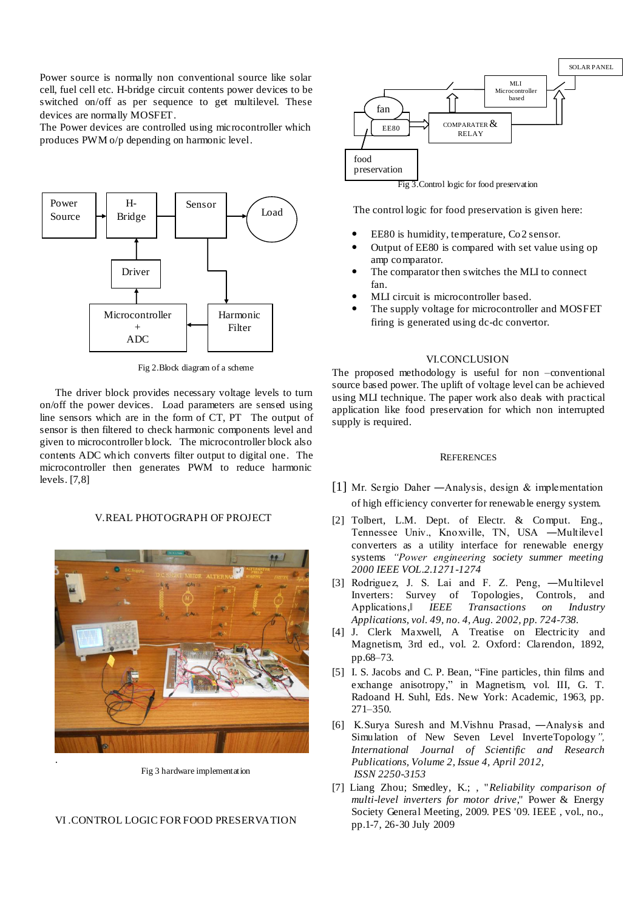Power source is normally non conventional source like solar cell, fuel cell etc. H-bridge circuit contents power devices to be switched on/off as per sequence to get multilevel. These devices are normally MOSFET.

The Power devices are controlled using microcontroller which produces PWM o/p depending on harmonic level.



Fig 2.Block diagram of a scheme

The driver block provides necessary voltage levels to turn on/off the power devices. Load parameters are sensed using line sensors which are in the form of CT, PT The output of sensor is then filtered to check harmonic components level and given to microcontroller block. The microcontroller block also contents ADC which converts filter output to digital one. The microcontroller then generates PWM to reduce harmonic levels. [7,8]

#### V.REAL PHOTOGRAPH OF PROJECT



Fig 3 hardware implementation

## VI .CONTROL LOGIC FOR FOOD PRESERVATION



Fig 3.Control logic for food preservation

The control logic for food preservation is given here:

- EE80 is humidity, temperature, Co2 sensor.
- Output of EE80 is compared with set value using op amp comparator.
- The comparator then switches the MLI to connect fan.
- MLI circuit is microcontroller based.
- The supply voltage for microcontroller and MOSFET firing is generated using dc-dc convertor.

#### VI.CONCLUSION

The proposed methodology is useful for non -conventional source based power. The uplift of voltage level can be achieved using MLI technique. The paper work also deals with practical application like food preservation for which non interrupted supply is required.

### **REFERENCES**

- [1] Mr. Sergio Daher ―Analysis, design & implementation of high efficiency converter for renewable energy system.
- [2] Tolbert, L.M. Dept. of Electr. & Comput. Eng., Tennessee Univ., Knoxville, TN, USA ―Multilevel converters as a utility interface for renewable energy systems *"Power engineering society summer meeting 2000 IEEE VOL.2.1271-1274*
- [3] Rodriguez, J. S. Lai and F. Z. Peng, ―Multilevel Inverters: Survey of Topologies, Controls, and Applications,‖ *IEEE Transactions on Industry Applications, vol. 49, no. 4, Aug. 2002, pp. 724-738.*
- [4] J. Clerk Maxwell, A Treatise on Electricity and Magnetism, 3rd ed., vol. 2. Oxford: Clarendon, 1892, pp.68–73.
- [5] I. S. Jacobs and C. P. Bean, "Fine particles, thin films and exchange anisotropy," in Magnetism, vol. III, G. T. Radoand H. Suhl, Eds. New York: Academic, 1963, pp. 271–350.
- [6] K.Surya Suresh and M.Vishnu Prasad, ―Analysis and Simulation of New Seven Level InverteTopology*", International Journal of Scientific and Research Publications, Volume 2, Issue 4, April 2012, ISSN 2250-3153*
- [7] Liang Zhou; Smedley, K.; , "*Reliability comparison of multi-level inverters for motor drive*," Power & Energy Society General Meeting, 2009. PES '09. IEEE , vol., no., pp.1-7, 26-30 July 2009